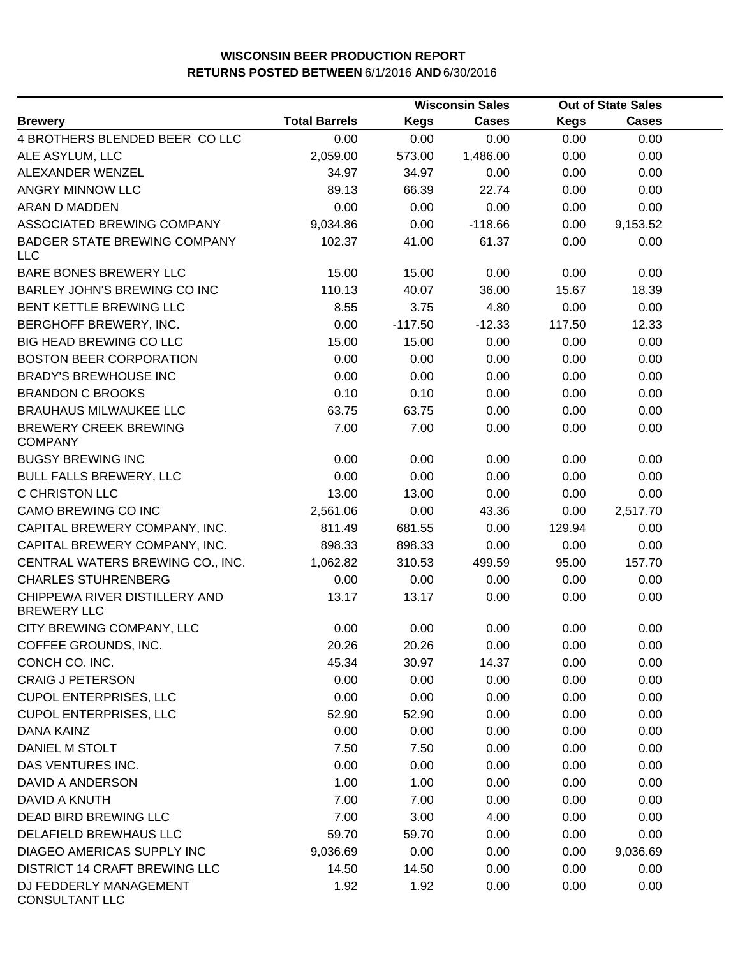|                                                     |                      | <b>Wisconsin Sales</b> |              |             | <b>Out of State Sales</b> |  |
|-----------------------------------------------------|----------------------|------------------------|--------------|-------------|---------------------------|--|
| <b>Brewery</b>                                      | <b>Total Barrels</b> | <b>Kegs</b>            | <b>Cases</b> | <b>Kegs</b> | <b>Cases</b>              |  |
| 4 BROTHERS BLENDED BEER CO LLC                      | 0.00                 | 0.00                   | 0.00         | 0.00        | 0.00                      |  |
| ALE ASYLUM, LLC                                     | 2,059.00             | 573.00                 | 1,486.00     | 0.00        | 0.00                      |  |
| ALEXANDER WENZEL                                    | 34.97                | 34.97                  | 0.00         | 0.00        | 0.00                      |  |
| ANGRY MINNOW LLC                                    | 89.13                | 66.39                  | 22.74        | 0.00        | 0.00                      |  |
| <b>ARAN D MADDEN</b>                                | 0.00                 | 0.00                   | 0.00         | 0.00        | 0.00                      |  |
| ASSOCIATED BREWING COMPANY                          | 9,034.86             | 0.00                   | $-118.66$    | 0.00        | 9,153.52                  |  |
| <b>BADGER STATE BREWING COMPANY</b><br><b>LLC</b>   | 102.37               | 41.00                  | 61.37        | 0.00        | 0.00                      |  |
| BARE BONES BREWERY LLC                              | 15.00                | 15.00                  | 0.00         | 0.00        | 0.00                      |  |
| BARLEY JOHN'S BREWING CO INC                        | 110.13               | 40.07                  | 36.00        | 15.67       | 18.39                     |  |
| BENT KETTLE BREWING LLC                             | 8.55                 | 3.75                   | 4.80         | 0.00        | 0.00                      |  |
| BERGHOFF BREWERY, INC.                              | 0.00                 | $-117.50$              | $-12.33$     | 117.50      | 12.33                     |  |
| <b>BIG HEAD BREWING CO LLC</b>                      | 15.00                | 15.00                  | 0.00         | 0.00        | 0.00                      |  |
| <b>BOSTON BEER CORPORATION</b>                      | 0.00                 | 0.00                   | 0.00         | 0.00        | 0.00                      |  |
| <b>BRADY'S BREWHOUSE INC</b>                        | 0.00                 | 0.00                   | 0.00         | 0.00        | 0.00                      |  |
| <b>BRANDON C BROOKS</b>                             | 0.10                 | 0.10                   | 0.00         | 0.00        | 0.00                      |  |
| <b>BRAUHAUS MILWAUKEE LLC</b>                       | 63.75                | 63.75                  | 0.00         | 0.00        | 0.00                      |  |
| <b>BREWERY CREEK BREWING</b><br><b>COMPANY</b>      | 7.00                 | 7.00                   | 0.00         | 0.00        | 0.00                      |  |
| <b>BUGSY BREWING INC</b>                            | 0.00                 | 0.00                   | 0.00         | 0.00        | 0.00                      |  |
| <b>BULL FALLS BREWERY, LLC</b>                      | 0.00                 | 0.00                   | 0.00         | 0.00        | 0.00                      |  |
| C CHRISTON LLC                                      | 13.00                | 13.00                  | 0.00         | 0.00        | 0.00                      |  |
| CAMO BREWING CO INC                                 | 2,561.06             | 0.00                   | 43.36        | 0.00        | 2,517.70                  |  |
| CAPITAL BREWERY COMPANY, INC.                       | 811.49               | 681.55                 | 0.00         | 129.94      | 0.00                      |  |
| CAPITAL BREWERY COMPANY, INC.                       | 898.33               | 898.33                 | 0.00         | 0.00        | 0.00                      |  |
| CENTRAL WATERS BREWING CO., INC.                    | 1,062.82             | 310.53                 | 499.59       | 95.00       | 157.70                    |  |
| <b>CHARLES STUHRENBERG</b>                          | 0.00                 | 0.00                   | 0.00         | 0.00        | 0.00                      |  |
| CHIPPEWA RIVER DISTILLERY AND<br><b>BREWERY LLC</b> | 13.17                | 13.17                  | 0.00         | 0.00        | 0.00                      |  |
| CITY BREWING COMPANY, LLC                           | 0.00                 | 0.00                   | 0.00         | 0.00        | 0.00                      |  |
| COFFEE GROUNDS, INC.                                | 20.26                | 20.26                  | 0.00         | 0.00        | 0.00                      |  |
| CONCH CO. INC.                                      | 45.34                | 30.97                  | 14.37        | 0.00        | 0.00                      |  |
| <b>CRAIG J PETERSON</b>                             | 0.00                 | 0.00                   | 0.00         | 0.00        | 0.00                      |  |
| <b>CUPOL ENTERPRISES, LLC</b>                       | 0.00                 | 0.00                   | 0.00         | 0.00        | 0.00                      |  |
| <b>CUPOL ENTERPRISES, LLC</b>                       | 52.90                | 52.90                  | 0.00         | 0.00        | 0.00                      |  |
| <b>DANA KAINZ</b>                                   | 0.00                 | 0.00                   | 0.00         | 0.00        | 0.00                      |  |
| DANIEL M STOLT                                      | 7.50                 | 7.50                   | 0.00         | 0.00        | 0.00                      |  |
| DAS VENTURES INC.                                   | 0.00                 | 0.00                   | 0.00         | 0.00        | 0.00                      |  |
| DAVID A ANDERSON                                    | 1.00                 | 1.00                   | 0.00         | 0.00        | 0.00                      |  |
| DAVID A KNUTH                                       | 7.00                 | 7.00                   | 0.00         | 0.00        | 0.00                      |  |
| DEAD BIRD BREWING LLC                               | 7.00                 | 3.00                   | 4.00         | 0.00        | 0.00                      |  |
| DELAFIELD BREWHAUS LLC                              | 59.70                | 59.70                  | 0.00         | 0.00        | 0.00                      |  |
| DIAGEO AMERICAS SUPPLY INC                          | 9,036.69             | 0.00                   | 0.00         | 0.00        | 9,036.69                  |  |
| <b>DISTRICT 14 CRAFT BREWING LLC</b>                | 14.50                | 14.50                  | 0.00         | 0.00        | 0.00                      |  |
| DJ FEDDERLY MANAGEMENT<br><b>CONSULTANT LLC</b>     | 1.92                 | 1.92                   | 0.00         | 0.00        | 0.00                      |  |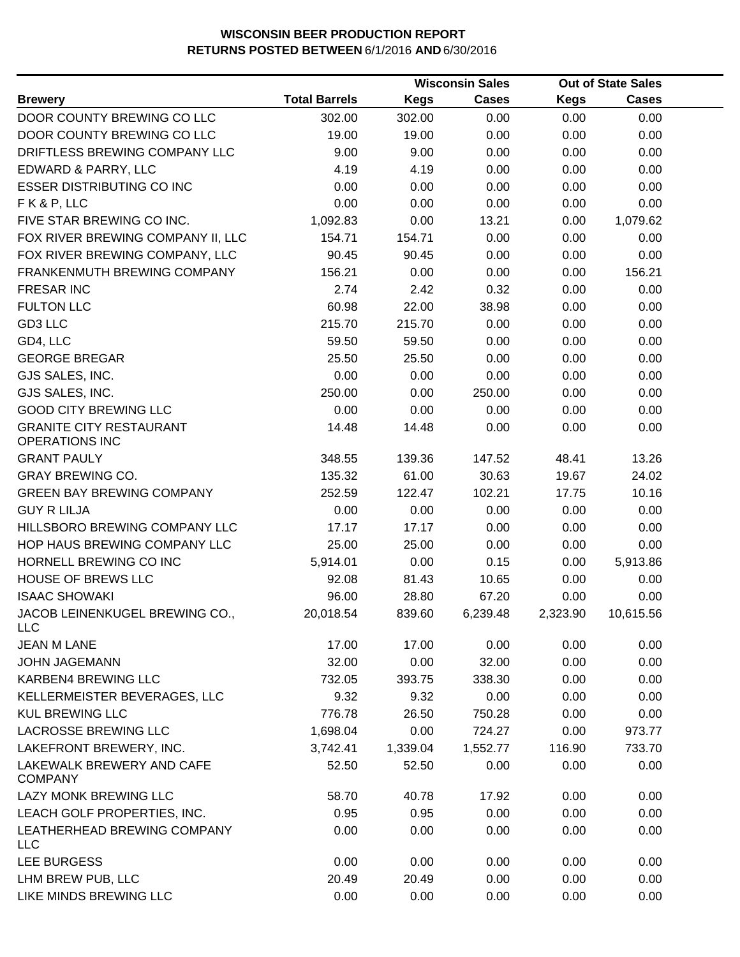|                                                         |                      |          | <b>Wisconsin Sales</b> |             | <b>Out of State Sales</b> |  |
|---------------------------------------------------------|----------------------|----------|------------------------|-------------|---------------------------|--|
| <b>Brewery</b>                                          | <b>Total Barrels</b> | Kegs     | <b>Cases</b>           | <b>Kegs</b> | <b>Cases</b>              |  |
| DOOR COUNTY BREWING CO LLC                              | 302.00               | 302.00   | 0.00                   | 0.00        | 0.00                      |  |
| DOOR COUNTY BREWING CO LLC                              | 19.00                | 19.00    | 0.00                   | 0.00        | 0.00                      |  |
| DRIFTLESS BREWING COMPANY LLC                           | 9.00                 | 9.00     | 0.00                   | 0.00        | 0.00                      |  |
| EDWARD & PARRY, LLC                                     | 4.19                 | 4.19     | 0.00                   | 0.00        | 0.00                      |  |
| <b>ESSER DISTRIBUTING CO INC</b>                        | 0.00                 | 0.00     | 0.00                   | 0.00        | 0.00                      |  |
| FK&P, LLC                                               | 0.00                 | 0.00     | 0.00                   | 0.00        | 0.00                      |  |
| FIVE STAR BREWING CO INC.                               | 1,092.83             | 0.00     | 13.21                  | 0.00        | 1,079.62                  |  |
| FOX RIVER BREWING COMPANY II, LLC                       | 154.71               | 154.71   | 0.00                   | 0.00        | 0.00                      |  |
| FOX RIVER BREWING COMPANY, LLC                          | 90.45                | 90.45    | 0.00                   | 0.00        | 0.00                      |  |
| FRANKENMUTH BREWING COMPANY                             | 156.21               | 0.00     | 0.00                   | 0.00        | 156.21                    |  |
| <b>FRESAR INC</b>                                       | 2.74                 | 2.42     | 0.32                   | 0.00        | 0.00                      |  |
| <b>FULTON LLC</b>                                       | 60.98                | 22.00    | 38.98                  | 0.00        | 0.00                      |  |
| GD3 LLC                                                 | 215.70               | 215.70   | 0.00                   | 0.00        | 0.00                      |  |
| GD4, LLC                                                | 59.50                | 59.50    | 0.00                   | 0.00        | 0.00                      |  |
| <b>GEORGE BREGAR</b>                                    | 25.50                | 25.50    | 0.00                   | 0.00        | 0.00                      |  |
| GJS SALES, INC.                                         | 0.00                 | 0.00     | 0.00                   | 0.00        | 0.00                      |  |
| GJS SALES, INC.                                         | 250.00               | 0.00     | 250.00                 | 0.00        | 0.00                      |  |
| <b>GOOD CITY BREWING LLC</b>                            | 0.00                 | 0.00     | 0.00                   | 0.00        | 0.00                      |  |
| <b>GRANITE CITY RESTAURANT</b><br><b>OPERATIONS INC</b> | 14.48                | 14.48    | 0.00                   | 0.00        | 0.00                      |  |
| <b>GRANT PAULY</b>                                      | 348.55               | 139.36   | 147.52                 | 48.41       | 13.26                     |  |
| <b>GRAY BREWING CO.</b>                                 | 135.32               | 61.00    | 30.63                  | 19.67       | 24.02                     |  |
| <b>GREEN BAY BREWING COMPANY</b>                        | 252.59               | 122.47   | 102.21                 | 17.75       | 10.16                     |  |
| <b>GUY R LILJA</b>                                      | 0.00                 | 0.00     | 0.00                   | 0.00        | 0.00                      |  |
| HILLSBORO BREWING COMPANY LLC                           | 17.17                | 17.17    | 0.00                   | 0.00        | 0.00                      |  |
| HOP HAUS BREWING COMPANY LLC                            | 25.00                | 25.00    | 0.00                   | 0.00        | 0.00                      |  |
| HORNELL BREWING CO INC                                  | 5,914.01             | 0.00     | 0.15                   | 0.00        | 5,913.86                  |  |
| <b>HOUSE OF BREWS LLC</b>                               | 92.08                | 81.43    | 10.65                  | 0.00        | 0.00                      |  |
| <b>ISAAC SHOWAKI</b>                                    | 96.00                | 28.80    | 67.20                  | 0.00        | 0.00                      |  |
| JACOB LEINENKUGEL BREWING CO.,<br>LLC                   | 20,018.54            | 839.60   | 6,239.48               | 2,323.90    | 10,615.56                 |  |
| <b>JEAN M LANE</b>                                      | 17.00                | 17.00    | 0.00                   | 0.00        | 0.00                      |  |
| <b>JOHN JAGEMANN</b>                                    | 32.00                | 0.00     | 32.00                  | 0.00        | 0.00                      |  |
| KARBEN4 BREWING LLC                                     | 732.05               | 393.75   | 338.30                 | 0.00        | 0.00                      |  |
| KELLERMEISTER BEVERAGES, LLC                            | 9.32                 | 9.32     | 0.00                   | 0.00        | 0.00                      |  |
| <b>KUL BREWING LLC</b>                                  | 776.78               | 26.50    | 750.28                 | 0.00        | 0.00                      |  |
| LACROSSE BREWING LLC                                    | 1,698.04             | 0.00     | 724.27                 | 0.00        | 973.77                    |  |
| LAKEFRONT BREWERY, INC.                                 | 3,742.41             | 1,339.04 | 1,552.77               | 116.90      | 733.70                    |  |
| LAKEWALK BREWERY AND CAFE<br><b>COMPANY</b>             | 52.50                | 52.50    | 0.00                   | 0.00        | 0.00                      |  |
| <b>LAZY MONK BREWING LLC</b>                            | 58.70                | 40.78    | 17.92                  | 0.00        | 0.00                      |  |
| LEACH GOLF PROPERTIES, INC.                             | 0.95                 | 0.95     | 0.00                   | 0.00        | 0.00                      |  |
| LEATHERHEAD BREWING COMPANY<br><b>LLC</b>               | 0.00                 | 0.00     | 0.00                   | 0.00        | 0.00                      |  |
| <b>LEE BURGESS</b>                                      | 0.00                 | 0.00     | 0.00                   | 0.00        | 0.00                      |  |
| LHM BREW PUB, LLC                                       | 20.49                | 20.49    | 0.00                   | 0.00        | 0.00                      |  |
| LIKE MINDS BREWING LLC                                  | 0.00                 | 0.00     | 0.00                   | 0.00        | 0.00                      |  |
|                                                         |                      |          |                        |             |                           |  |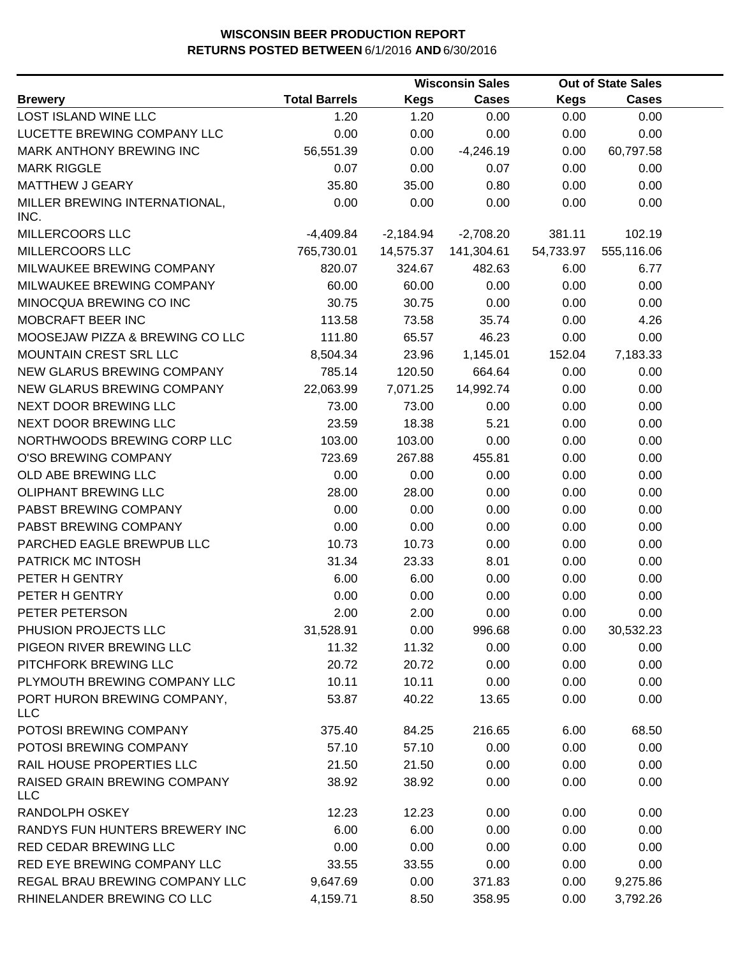|                                            |                      | <b>Wisconsin Sales</b> |              |             | <b>Out of State Sales</b> |  |
|--------------------------------------------|----------------------|------------------------|--------------|-------------|---------------------------|--|
| <b>Brewery</b>                             | <b>Total Barrels</b> | <b>Kegs</b>            | <b>Cases</b> | <b>Kegs</b> | <b>Cases</b>              |  |
| LOST ISLAND WINE LLC                       | 1.20                 | 1.20                   | 0.00         | 0.00        | 0.00                      |  |
| LUCETTE BREWING COMPANY LLC                | 0.00                 | 0.00                   | 0.00         | 0.00        | 0.00                      |  |
| MARK ANTHONY BREWING INC                   | 56,551.39            | 0.00                   | $-4,246.19$  | 0.00        | 60,797.58                 |  |
| <b>MARK RIGGLE</b>                         | 0.07                 | 0.00                   | 0.07         | 0.00        | 0.00                      |  |
| <b>MATTHEW J GEARY</b>                     | 35.80                | 35.00                  | 0.80         | 0.00        | 0.00                      |  |
| MILLER BREWING INTERNATIONAL,<br>INC.      | 0.00                 | 0.00                   | 0.00         | 0.00        | 0.00                      |  |
| MILLERCOORS LLC                            | $-4,409.84$          | $-2,184.94$            | $-2,708.20$  | 381.11      | 102.19                    |  |
| MILLERCOORS LLC                            | 765,730.01           | 14,575.37              | 141,304.61   | 54,733.97   | 555,116.06                |  |
| MILWAUKEE BREWING COMPANY                  | 820.07               | 324.67                 | 482.63       | 6.00        | 6.77                      |  |
| MILWAUKEE BREWING COMPANY                  | 60.00                | 60.00                  | 0.00         | 0.00        | 0.00                      |  |
| MINOCQUA BREWING CO INC                    | 30.75                | 30.75                  | 0.00         | 0.00        | 0.00                      |  |
| MOBCRAFT BEER INC                          | 113.58               | 73.58                  | 35.74        | 0.00        | 4.26                      |  |
| MOOSEJAW PIZZA & BREWING CO LLC            | 111.80               | 65.57                  | 46.23        | 0.00        | 0.00                      |  |
| MOUNTAIN CREST SRL LLC                     | 8,504.34             | 23.96                  | 1,145.01     | 152.04      | 7,183.33                  |  |
| NEW GLARUS BREWING COMPANY                 | 785.14               | 120.50                 | 664.64       | 0.00        | 0.00                      |  |
| NEW GLARUS BREWING COMPANY                 | 22,063.99            | 7,071.25               | 14,992.74    | 0.00        | 0.00                      |  |
| NEXT DOOR BREWING LLC                      | 73.00                | 73.00                  | 0.00         | 0.00        | 0.00                      |  |
| NEXT DOOR BREWING LLC                      | 23.59                | 18.38                  | 5.21         | 0.00        | 0.00                      |  |
| NORTHWOODS BREWING CORP LLC                | 103.00               | 103.00                 | 0.00         | 0.00        | 0.00                      |  |
| O'SO BREWING COMPANY                       | 723.69               | 267.88                 | 455.81       | 0.00        | 0.00                      |  |
| OLD ABE BREWING LLC                        | 0.00                 | 0.00                   | 0.00         | 0.00        | 0.00                      |  |
| <b>OLIPHANT BREWING LLC</b>                | 28.00                | 28.00                  | 0.00         | 0.00        | 0.00                      |  |
| PABST BREWING COMPANY                      | 0.00                 | 0.00                   | 0.00         | 0.00        | 0.00                      |  |
| PABST BREWING COMPANY                      | 0.00                 | 0.00                   | 0.00         | 0.00        | 0.00                      |  |
| PARCHED EAGLE BREWPUB LLC                  | 10.73                | 10.73                  | 0.00         | 0.00        | 0.00                      |  |
| PATRICK MC INTOSH                          | 31.34                | 23.33                  | 8.01         | 0.00        | 0.00                      |  |
| PETER H GENTRY                             | 6.00                 | 6.00                   | 0.00         | 0.00        | 0.00                      |  |
| PETER H GENTRY                             | 0.00                 | 0.00                   | 0.00         | 0.00        | 0.00                      |  |
| PETER PETERSON                             | 2.00                 | 2.00                   | 0.00         | 0.00        | 0.00                      |  |
| PHUSION PROJECTS LLC                       | 31,528.91            | 0.00                   | 996.68       | 0.00        | 30,532.23                 |  |
| PIGEON RIVER BREWING LLC                   | 11.32                | 11.32                  | 0.00         | 0.00        | 0.00                      |  |
| PITCHFORK BREWING LLC                      | 20.72                | 20.72                  | 0.00         | 0.00        | 0.00                      |  |
| PLYMOUTH BREWING COMPANY LLC               | 10.11                | 10.11                  | 0.00         | 0.00        | 0.00                      |  |
| PORT HURON BREWING COMPANY,<br><b>LLC</b>  | 53.87                | 40.22                  | 13.65        | 0.00        | 0.00                      |  |
| POTOSI BREWING COMPANY                     | 375.40               | 84.25                  | 216.65       | 6.00        | 68.50                     |  |
| POTOSI BREWING COMPANY                     | 57.10                | 57.10                  | 0.00         | 0.00        | 0.00                      |  |
| RAIL HOUSE PROPERTIES LLC                  | 21.50                | 21.50                  | 0.00         | 0.00        | 0.00                      |  |
| RAISED GRAIN BREWING COMPANY<br><b>LLC</b> | 38.92                | 38.92                  | 0.00         | 0.00        | 0.00                      |  |
| RANDOLPH OSKEY                             | 12.23                | 12.23                  | 0.00         | 0.00        | 0.00                      |  |
| RANDYS FUN HUNTERS BREWERY INC             | 6.00                 | 6.00                   | 0.00         | 0.00        | 0.00                      |  |
| RED CEDAR BREWING LLC                      | 0.00                 | 0.00                   | 0.00         | 0.00        | 0.00                      |  |
| RED EYE BREWING COMPANY LLC                | 33.55                | 33.55                  | 0.00         | 0.00        | 0.00                      |  |
| REGAL BRAU BREWING COMPANY LLC             | 9,647.69             | 0.00                   | 371.83       | 0.00        | 9,275.86                  |  |
| RHINELANDER BREWING CO LLC                 | 4,159.71             | 8.50                   | 358.95       | 0.00        | 3,792.26                  |  |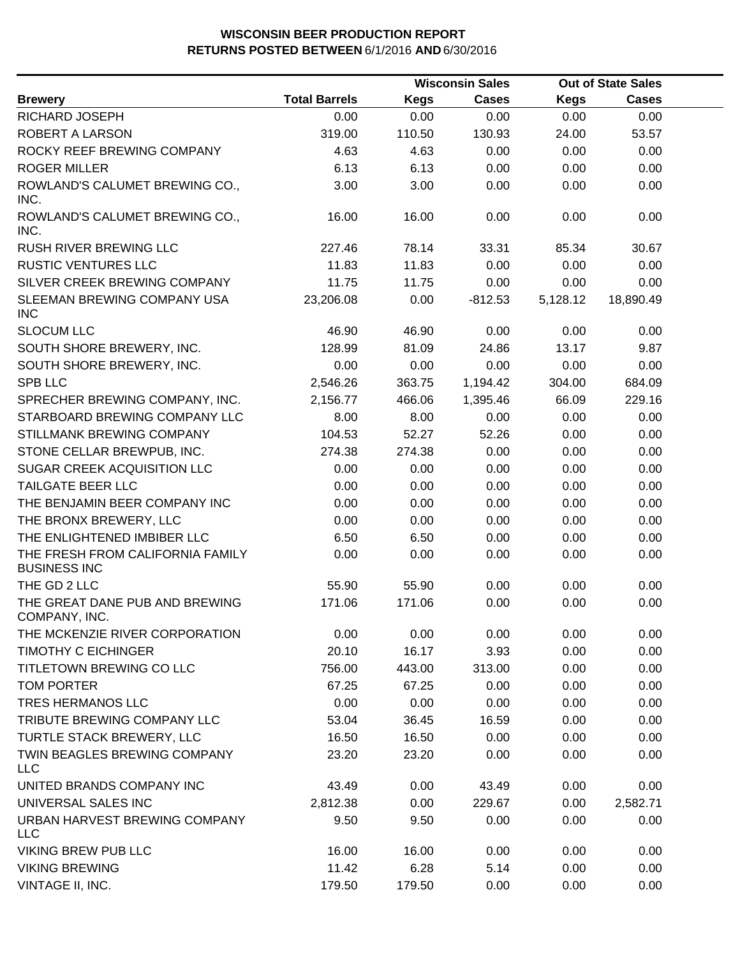|                                                         | <b>Wisconsin Sales</b> |             | <b>Out of State Sales</b> |             |              |  |
|---------------------------------------------------------|------------------------|-------------|---------------------------|-------------|--------------|--|
| <b>Brewery</b>                                          | <b>Total Barrels</b>   | <b>Kegs</b> | Cases                     | <b>Kegs</b> | <b>Cases</b> |  |
| RICHARD JOSEPH                                          | 0.00                   | 0.00        | 0.00                      | 0.00        | 0.00         |  |
| ROBERT A LARSON                                         | 319.00                 | 110.50      | 130.93                    | 24.00       | 53.57        |  |
| ROCKY REEF BREWING COMPANY                              | 4.63                   | 4.63        | 0.00                      | 0.00        | 0.00         |  |
| <b>ROGER MILLER</b>                                     | 6.13                   | 6.13        | 0.00                      | 0.00        | 0.00         |  |
| ROWLAND'S CALUMET BREWING CO.,<br>INC.                  | 3.00                   | 3.00        | 0.00                      | 0.00        | 0.00         |  |
| ROWLAND'S CALUMET BREWING CO.,<br>INC.                  | 16.00                  | 16.00       | 0.00                      | 0.00        | 0.00         |  |
| <b>RUSH RIVER BREWING LLC</b>                           | 227.46                 | 78.14       | 33.31                     | 85.34       | 30.67        |  |
| <b>RUSTIC VENTURES LLC</b>                              | 11.83                  | 11.83       | 0.00                      | 0.00        | 0.00         |  |
| SILVER CREEK BREWING COMPANY                            | 11.75                  | 11.75       | 0.00                      | 0.00        | 0.00         |  |
| SLEEMAN BREWING COMPANY USA<br><b>INC</b>               | 23,206.08              | 0.00        | $-812.53$                 | 5,128.12    | 18,890.49    |  |
| <b>SLOCUM LLC</b>                                       | 46.90                  | 46.90       | 0.00                      | 0.00        | 0.00         |  |
| SOUTH SHORE BREWERY, INC.                               | 128.99                 | 81.09       | 24.86                     | 13.17       | 9.87         |  |
| SOUTH SHORE BREWERY, INC.                               | 0.00                   | 0.00        | 0.00                      | 0.00        | 0.00         |  |
| <b>SPB LLC</b>                                          | 2,546.26               | 363.75      | 1,194.42                  | 304.00      | 684.09       |  |
| SPRECHER BREWING COMPANY, INC.                          | 2,156.77               | 466.06      | 1,395.46                  | 66.09       | 229.16       |  |
| STARBOARD BREWING COMPANY LLC                           | 8.00                   | 8.00        | 0.00                      | 0.00        | 0.00         |  |
| STILLMANK BREWING COMPANY                               | 104.53                 | 52.27       | 52.26                     | 0.00        | 0.00         |  |
| STONE CELLAR BREWPUB, INC.                              | 274.38                 | 274.38      | 0.00                      | 0.00        | 0.00         |  |
| SUGAR CREEK ACQUISITION LLC                             | 0.00                   | 0.00        | 0.00                      | 0.00        | 0.00         |  |
| TAILGATE BEER LLC                                       | 0.00                   | 0.00        | 0.00                      | 0.00        | 0.00         |  |
| THE BENJAMIN BEER COMPANY INC                           | 0.00                   | 0.00        | 0.00                      | 0.00        | 0.00         |  |
| THE BRONX BREWERY, LLC                                  | 0.00                   | 0.00        | 0.00                      | 0.00        | 0.00         |  |
| THE ENLIGHTENED IMBIBER LLC                             | 6.50                   | 6.50        | 0.00                      | 0.00        | 0.00         |  |
| THE FRESH FROM CALIFORNIA FAMILY<br><b>BUSINESS INC</b> | 0.00                   | 0.00        | 0.00                      | 0.00        | 0.00         |  |
| THE GD 2 LLC                                            | 55.90                  | 55.90       | 0.00                      | 0.00        | 0.00         |  |
| THE GREAT DANE PUB AND BREWING<br>COMPANY, INC.         | 171.06                 | 171.06      | 0.00                      | 0.00        | 0.00         |  |
| THE MCKENZIE RIVER CORPORATION                          | 0.00                   | 0.00        | 0.00                      | 0.00        | 0.00         |  |
| <b>TIMOTHY C EICHINGER</b>                              | 20.10                  | 16.17       | 3.93                      | 0.00        | 0.00         |  |
| TITLETOWN BREWING CO LLC                                | 756.00                 | 443.00      | 313.00                    | 0.00        | 0.00         |  |
| TOM PORTER                                              | 67.25                  | 67.25       | 0.00                      | 0.00        | 0.00         |  |
| TRES HERMANOS LLC                                       | 0.00                   | 0.00        | 0.00                      | 0.00        | 0.00         |  |
| TRIBUTE BREWING COMPANY LLC                             | 53.04                  | 36.45       | 16.59                     | 0.00        | 0.00         |  |
| TURTLE STACK BREWERY, LLC                               | 16.50                  | 16.50       | 0.00                      | 0.00        | 0.00         |  |
| TWIN BEAGLES BREWING COMPANY<br><b>LLC</b>              | 23.20                  | 23.20       | 0.00                      | 0.00        | 0.00         |  |
| UNITED BRANDS COMPANY INC                               | 43.49                  | 0.00        | 43.49                     | 0.00        | 0.00         |  |
| UNIVERSAL SALES INC                                     | 2,812.38               | 0.00        | 229.67                    | 0.00        | 2,582.71     |  |
| URBAN HARVEST BREWING COMPANY<br><b>LLC</b>             | 9.50                   | 9.50        | 0.00                      | 0.00        | 0.00         |  |
| <b>VIKING BREW PUB LLC</b>                              | 16.00                  | 16.00       | 0.00                      | 0.00        | 0.00         |  |
| <b>VIKING BREWING</b>                                   | 11.42                  | 6.28        | 5.14                      | 0.00        | 0.00         |  |
| VINTAGE II, INC.                                        | 179.50                 | 179.50      | 0.00                      | 0.00        | 0.00         |  |